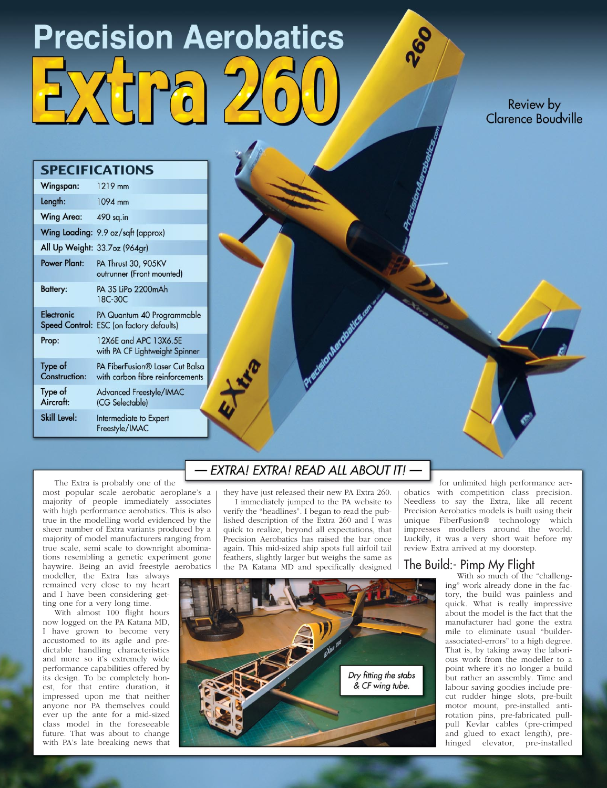# **Precision Aerobatics**

Review by Clarence Boudville

### **SPECIFICATIONS**

| Wingspan:                | 1219 mm                                                                |  |
|--------------------------|------------------------------------------------------------------------|--|
| Length:                  | 1094 mm                                                                |  |
| <b>Wing Area:</b>        | 490 sq.in                                                              |  |
|                          | Wing Loading: 9.9 oz/sqft (approx)                                     |  |
|                          | All Up Weight: 33.7oz (964gr)                                          |  |
| Power Plant:             | PA Thrust 30, 905KV<br>outrunner (Front mounted)                       |  |
| Battery:                 | PA 3S LiPo 2200mAh<br>18C-30C                                          |  |
| Electronic               | PA Quantum 40 Programmable<br>Speed Control: ESC (on factory defaults) |  |
| Prop:                    | 12X6E and APC 13X6.5E<br>with PA CF Lightweight Spinner                |  |
| Type of<br>Construction: | PA FiberFusion® Laser Cut Balsa<br>with carbon fibre reinforcements    |  |
| Type of<br>Aircraft:     | <b>Advanced Freestyle/IMAC</b><br>(CG Selectable)                      |  |
| Skill Level:             | Intermediate to Expert<br>Freestyle/IMAC                               |  |

The Extra is probably one of the

most popular scale aerobatic aeroplane's a majority of people immediately associates with high performance aerobatics. This is also true in the modelling world evidenced by the sheer number of Extra variants produced by a majority of model manufacturers ranging from true scale, semi scale to downright abominations resembling a genetic experiment gone haywire. Being an avid freestyle aerobatics

modeller, the Extra has always remained very close to my heart and I have been considering getting one for a very long time.

With almost 100 flight hours now logged on the PA Katana MD, I have grown to become very accustomed to its agile and predictable handling characteristics and more so it's extremely wide performance capabilities offered by its design. To be completely honest, for that entire duration, it impressed upon me that neither anyone nor PA themselves could ever up the ante for a mid-sized class model in the foreseeable future. That was about to change with PA's late breaking news that

# EXTRA! EXTRA! READ ALL ABOUT IT! -

they have just released their new PA Extra 260. I immediately jumped to the PA website to verify the "headlines". I began to read the published description of the Extra 260 and I was quick to realize, beyond all expectations, that Precision Aerobatics has raised the bar once again. This mid-sized ship spots full airfoil tail feathers, slightly larger but weighs the same as the PA Katana MD and specifically designed

for unlimited high performance aerobatics with competition class precision. Needless to say the Extra, like all recent Precision Aerobatics models is built using their unique FiberFusion® technology which impresses modellers around the world. Luckily, it was a very short wait before my review Extra arrived at my doorstep.

### The Build:- Pimp My Flight

With so much of the "challenging" work already done in the factory, the build was painless and quick. What is really impressive about the model is the fact that the manufacturer had gone the extra mile to eliminate usual "builderassociated-errors" to a high degree. That is, by taking away the laborious work from the modeller to a point where it's no longer a build but rather an assembly. Time and labour saving goodies include precut rudder hinge slots, pre-built motor mount, pre-installed antirotation pins, pre-fabricated pullpull Kevlar cables (pre-crimped and glued to exact length), prehinged elevator, pre-installed

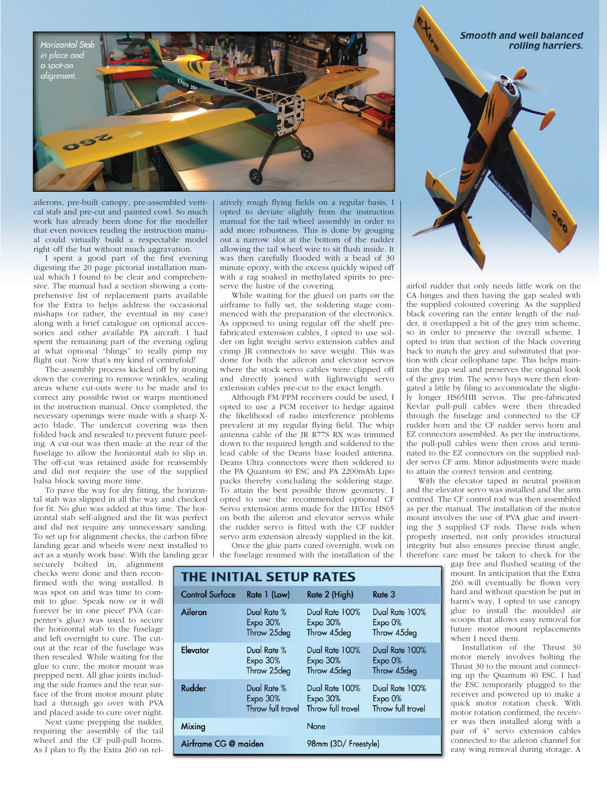

ailerons, pre-built canopy, pre-assembled vertical stab and pre-cut and painted cowl. So much work has already been done for the modeller that even novices reading the instruction manual could virtually build a respectable model right off the bat without much aggravation.

I spent a good part of the first evening digesting the 20 page pictorial installation manual which I found to be clear and comprehensive. The manual had a section showing a comprehensive list of replacement parts available for the Extra to helps address the occasional mishaps (or rather, the eventual in my case) along with a brief catalogue on optional accessories and other available PA aircraft. I had spent the remaining part of the evening ogling at what optional "blings" to really pimp my flight out. Now that's my kind of centrefold!

The assembly process kicked off by ironing down the covering to remove wrinkles, sealing areas where cut-outs were to be made and to correct any possible twist or warps mentioned in the instruction manual. Once completed, the necessary openings were made with a sharp Xacto blade. The undercut covering was then folded back and resealed to prevent future peeling. A cut-out was then made at the rear of the fuselage to allow the horizontal stab to slip in. The off-cut was retained aside for reassembly and did not require the use of the supplied balsa block saving more time.

To pave the way for dry fitting, the horizontal stab was slipped in all the way and checked for fit. No glue was added at this time. The horizontal stab self-aligned and the fit was perfect and did not require any unnecessary sanding. To set up for alignment checks, the carbon fibre landing gear and wheels were next installed to act as a sturdy work base. With the landing gear

securely bolted in, alignment checks were done and then reconfirmed with the wing installed. It was spot on and was time to commit to glue. Speak now or it will forever be in one piece! PVA (carpenter's glue) was used to secure the horizontal stab to the fuselage and left overnight to cure. The cutout at the rear of the fuselage was then resealed. While waiting for the glue to cure, the motor mount was prepped next. All glue joints including the side frames and the rear surface of the front motor mount plate had a through go over with PVA and placed aside to cure over night.

Next came prepping the rudder, requiring the assembly of the tail wheel and the CF pull-pull horns. As I plan to fly the Extra 260 on relatively rough flying fields on a regular basis, I opted to deviate slightly from the instruction manual for the tail wheel assembly in order to add more robustness. This is done by gouging out a narrow slot at the bottom of the rudder allowing the tail wheel wire to sit flush inside. It was then carefully flooded with a bead of 30 minute epoxy, with the excess quickly wiped off with a rag soaked in methylated spirits to preserve the lustre of the covering.

While waiting for the glued on parts on the airframe to fully set, the soldering stage commenced with the preparation of the electronics. As opposed to using regular off the shelf prefabricated extension cables, I opted to use solder on light weight servo extension cables and crimp JR connectors to save weight. This was done for both the aileron and elevator servos where the stock servo cables were clipped off and directly joined with lightweight servo extension cables pre-cut to the exact length.

Although FM/PPM receivers could be used, I opted to use a PCM receiver to hedge against the likelihood of radio interference problems prevalent at my regular flying field. The whip antenna cable of the JR R77S RX was trimmed down to the required length and soldered to the lead cable of the Deans base loaded antenna. Deans Ultra connectors were then soldered to the PA Quantum 40 ESC and PA 2200mAh Lipo packs thereby concluding the soldering stage. To attain the best possible throw geometry, I opted to use the recommended optional CF Servo extension arms made for the HiTec HS65 on both the aileron and elevator servos while the rudder servo is fitted with the CF rudder servo arm extension already supplied in the kit.

Once the glue parts cured overnight, work on the fuselage resumed with the installation of the

| <b>THE INITIAL SETUP RATES</b> |                                                |                                                   |                                                           |
|--------------------------------|------------------------------------------------|---------------------------------------------------|-----------------------------------------------------------|
| <b>Control Surface</b>         | Rate 1 (Low)                                   | Rate 2 (High)                                     | Rate 3                                                    |
| Aileron                        | Dual Rate %<br><b>Expo 30%</b><br>Throw 25deg  | Dual Rate 100%<br>Expo $30%$<br>Throw 45deg       | Dual Rate 100%<br>Expo 0%<br>Throw 45deg                  |
| Elevator                       | Dual Rate %<br>$Expo$ 30%<br>Throw 25deg       | Dual Rate 100%<br>$Expo$ 30%<br>Throw 45deg       | Dual Rate 100%<br>Expo 0%<br>Throw 45deg                  |
| Rudder                         | Dual Rate %<br>$Expo$ 30%<br>Throw full travel | Dual Rate 100%<br>$Expo$ 30%<br>Throw full travel | Dual Rate 100%<br>Expo <sub>0%</sub><br>Throw full travel |
| Mixing                         |                                                | None                                              |                                                           |
| Airframe CG @ maiden           |                                                | 98mm (3D/ Freestyle)                              |                                                           |

**Smooth and well balanced** 



airfoil rudder that only needs little work on the CA hinges and then having the gap sealed with the supplied coloured covering. As the supplied black covering ran the entire length of the rudder, it overlapped a bit of the grey trim scheme, so in order to preserve the overall scheme, I opted to trim that section of the black covering back to match the grey and substituted that portion with clear cellophane tape. This helps maintain the gap seal and preserves the original look of the grey trim. The servo bays were then elongated a little by filing to accommodate the slightly longer HS65HB servos. The pre-fabricated Kevlar pull-pull cables were then threaded through the fuselage and connected to the CF rudder horn and the CF rudder servo horn and EZ connectors assembled. As per the instructions, the pull-pull cables were then cross and terminated to the EZ connectors on the supplied rudder servo CF arm. Minor adjustments were made to attain the correct tension and centring.

With the elevator taped in neutral position and the elevator servo was installed and the arm centred. The CF control rod was then assembled as per the manual. The installation of the motor mount involves the use of PVA glue and inserting the 3 supplied CF rods. These rods when properly inserted, not only provides structural integrity but also ensures precise thrust angle, therefore care must be taken to check for the

gap free and flushed seating of the mount. In anticipation that the Extra 260 will eventually be flown very hard and without question be put in harm's way, I opted to use canopy glue to install the moulded air scoops that allows easy removal for future motor mount replacements when I need them.

Installation of the Thrust 30 motor merely involves bolting the Thrust 30 to the mount and connecting up the Quantum 40 ESC. I had the ESC temporarily plugged to the receiver and powered up to make a quick motor rotation check. With motor rotation confirmed, the receiver was then installed along with a pair of 4" servo extension cables connected to the aileron channel for easy wing removal during storage. A